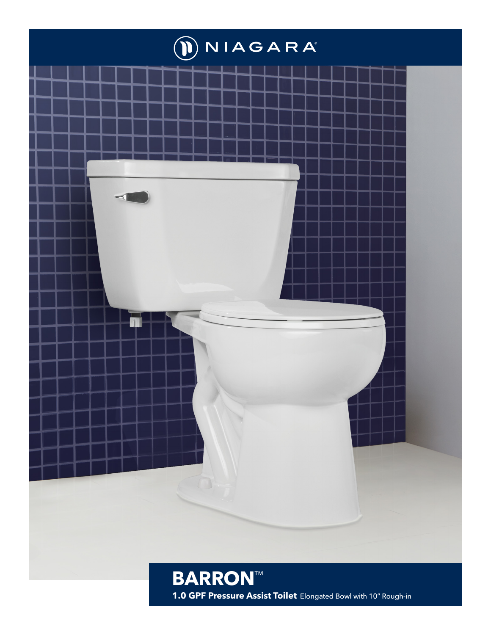

1.0 GPF Pressure Assist Toilet Elongated Bowl with 10" Rough-in